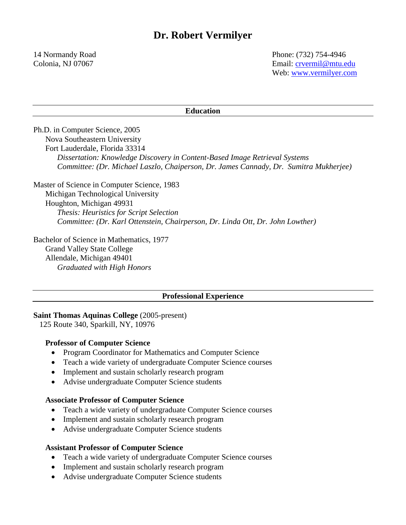14 Normandy Road Phone: (732) 754-4946 Colonia, NJ 07067 Email: [crvermil@mtu.edu](mailto:crvermil@mtu.edu) Web:<www.vermilyer.com>

#### **Education**

Ph.D. in Computer Science, 2005 Nova Southeastern University Fort Lauderdale, Florida 33314 *Dissertation: Knowledge Discovery in Content-Based Image Retrieval Systems Committee: (Dr. Michael Laszlo, Chaiperson, Dr. James Cannady, Dr. Sumitra Mukherjee)*

Master of Science in Computer Science, 1983 Michigan Technological University Houghton, Michigan 49931 *Thesis: Heuristics for Script Selection Committee: (Dr. Karl Ottenstein, Chairperson, Dr. Linda Ott, Dr. John Lowther)*

Bachelor of Science in Mathematics, 1977 Grand Valley State College Allendale, Michigan 49401 *Graduated with High Honors*

#### **Professional Experience**

### **Saint Thomas Aquinas College** (2005-present)

125 Route 340, Sparkill, NY, 10976

#### **Professor of Computer Science**

- Program Coordinator for Mathematics and Computer Science
- Teach a wide variety of undergraduate Computer Science courses
- Implement and sustain scholarly research program
- Advise undergraduate Computer Science students

### **Associate Professor of Computer Science**

- Teach a wide variety of undergraduate Computer Science courses
- Implement and sustain scholarly research program
- Advise undergraduate Computer Science students

#### **Assistant Professor of Computer Science**

- Teach a wide variety of undergraduate Computer Science courses
- Implement and sustain scholarly research program
- Advise undergraduate Computer Science students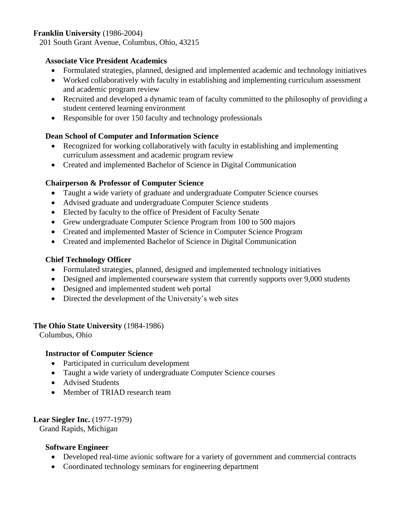# **Franklin University** (1986-2004)

201 South Grant Avenue, Columbus, Ohio, 43215

## **Associate Vice President Academics**

- Formulated strategies, planned, designed and implemented academic and technology initiatives
- Worked collaboratively with faculty in establishing and implementing curriculum assessment and academic program review
- Recruited and developed a dynamic team of faculty committed to the philosophy of providing a student centered learning environment
- Responsible for over 150 faculty and technology professionals

# **Dean School of Computer and Information Science**

- Recognized for working collaboratively with faculty in establishing and implementing curriculum assessment and academic program review
- Created and implemented Bachelor of Science in Digital Communication

## **Chairperson & Professor of Computer Science**

- Taught a wide variety of graduate and undergraduate Computer Science courses
- Advised graduate and undergraduate Computer Science students
- Elected by faculty to the office of President of Faculty Senate
- Grew undergraduate Computer Science Program from 100 to 500 majors
- Created and implemented Master of Science in Computer Science Program
- Created and implemented Bachelor of Science in Digital Communication

## **Chief Technology Officer**

- Formulated strategies, planned, designed and implemented technology initiatives
- Designed and implemented courseware system that currently supports over 9,000 students
- Designed and implemented student web portal
- Directed the development of the University's web sites

## **The Ohio State University** (1984-1986)

Columbus, Ohio

## **Instructor of Computer Science**

- Participated in curriculum development
- Taught a wide variety of undergraduate Computer Science courses
- Advised Students
- Member of TRIAD research team

## **Lear Siegler Inc.** (1977-1979)

Grand Rapids, Michigan

## **Software Engineer**

- Developed real-time avionic software for a variety of government and commercial contracts
- Coordinated technology seminars for engineering department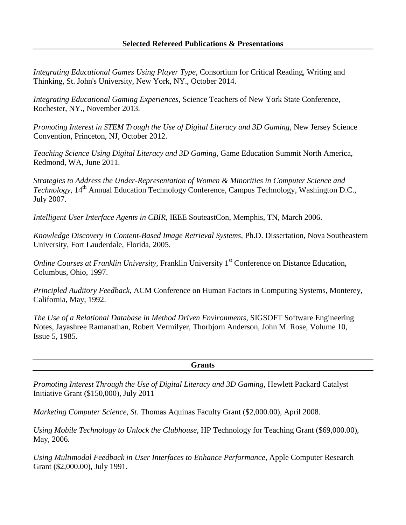## **Selected Refereed Publications & Presentations**

*Integrating Educational Games Using Player Type*, Consortium for Critical Reading, Writing and Thinking, St. John's University, New York, NY., October 2014.

*Integrating Educational Gaming Experiences*, Science Teachers of New York State Conference, Rochester, NY., November 2013.

*Promoting Interest in STEM Trough the Use of Digital Literacy and 3D Gaming*, New Jersey Science Convention, Princeton, NJ, October 2012.

*Teaching Science Using Digital Literacy and 3D Gaming*, Game Education Summit North America, Redmond, WA, June 2011.

*Strategies to Address the Under-Representation of Women & Minorities in Computer Science and Technology*, 14<sup>th</sup> Annual Education Technology Conference, Campus Technology, Washington D.C., July 2007.

*Intelligent User Interface Agents in CBIR*, IEEE SouteastCon, Memphis, TN, March 2006.

*Knowledge Discovery in Content-Based Image Retrieval Systems,* Ph.D. Dissertation, Nova Southeastern University, Fort Lauderdale, Florida, 2005.

*Online Courses at Franklin University*, Franklin University 1<sup>st</sup> Conference on Distance Education, Columbus, Ohio, 1997.

*Principled Auditory Feedback*, ACM Conference on Human Factors in Computing Systems, Monterey, California, May, 1992.

*The Use of a Relational Database in Method Driven Environments*, SIGSOFT Software Engineering Notes, Jayashree Ramanathan, Robert Vermilyer, Thorbjorn Anderson, John M. Rose, Volume 10, Issue 5, 1985.

**Grants**

*Promoting Interest Through the Use of Digital Literacy and 3D Gaming*, Hewlett Packard Catalyst Initiative Grant (\$150,000), July 2011

*Marketing Computer Science, St*. Thomas Aquinas Faculty Grant (\$2,000.00), April 2008.

*Using Mobile Technology to Unlock the Clubhouse,* HP Technology for Teaching Grant (\$69,000.00), May, 2006.

*Using Multimodal Feedback in User Interfaces to Enhance Performance*, Apple Computer Research Grant (\$2,000.00), July 1991.